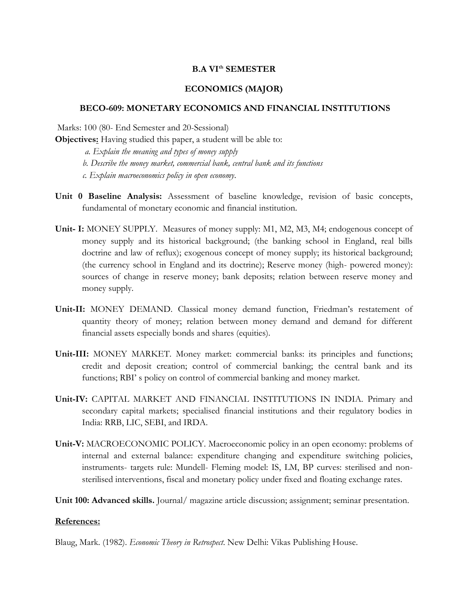## **B.A VIth SEMESTER**

## **ECONOMICS (MAJOR)**

## **BECO-609: MONETARY ECONOMICS AND FINANCIAL INSTITUTIONS**

Marks: 100 (80- End Semester and 20-Sessional)

**Objectives:** Having studied this paper, a student will be able to:

*a. Explain the meaning and types of money supply* 

*b. Describe the money market, commercial bank, central bank and its functions* 

*c. Explain macroeconomics policy in open economy*.

- **Unit 0 Baseline Analysis:** Assessment of baseline knowledge, revision of basic concepts, fundamental of monetary economic and financial institution.
- **Unit- I:** MONEY SUPPLY.Measures of money supply: M1, M2, M3, M4; endogenous concept of money supply and its historical background; (the banking school in England, real bills doctrine and law of reflux); exogenous concept of money supply; its historical background; (the currency school in England and its doctrine); Reserve money (high- powered money): sources of change in reserve money; bank deposits; relation between reserve money and money supply.
- **Unit-II:** MONEY DEMAND. Classical money demand function, Friedman's restatement of quantity theory of money; relation between money demand and demand for different financial assets especially bonds and shares (equities).
- **Unit-III:** MONEY MARKET. Money market: commercial banks: its principles and functions; credit and deposit creation; control of commercial banking; the central bank and its functions; RBI' s policy on control of commercial banking and money market.
- **Unit-IV:** CAPITAL MARKET AND FINANCIAL INSTITUTIONS IN INDIA. Primary and secondary capital markets; specialised financial institutions and their regulatory bodies in India: RRB, LIC, SEBI, and IRDA.
- **Unit-V:** MACROECONOMIC POLICY. Macroeconomic policy in an open economy: problems of internal and external balance: expenditure changing and expenditure switching policies, instruments- targets rule: Mundell- Fleming model: IS, LM, BP curves: sterilised and nonsterilised interventions, fiscal and monetary policy under fixed and floating exchange rates.
- **Unit 100: Advanced skills.** Journal/ magazine article discussion; assignment; seminar presentation.

## **References:**

Blaug, Mark. (1982). *Economic Theory in Retrospect*. New Delhi: Vikas Publishing House.